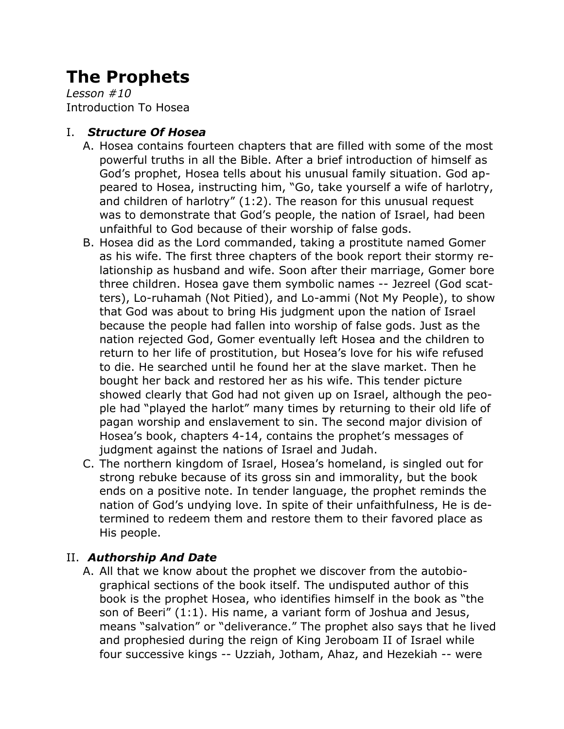# **The Prophets**

*Lesson #10* Introduction To Hosea

## I. *Structure Of Hosea*

- A. Hosea contains fourteen chapters that are filled with some of the most powerful truths in all the Bible. After a brief introduction of himself as God's prophet, Hosea tells about his unusual family situation. God appeared to Hosea, instructing him, "Go, take yourself a wife of harlotry, and children of harlotry" (1:2). The reason for this unusual request was to demonstrate that God's people, the nation of Israel, had been unfaithful to God because of their worship of false gods.
- B. Hosea did as the Lord commanded, taking a prostitute named Gomer as his wife. The first three chapters of the book report their stormy relationship as husband and wife. Soon after their marriage, Gomer bore three children. Hosea gave them symbolic names -- Jezreel (God scatters), Lo-ruhamah (Not Pitied), and Lo-ammi (Not My People), to show that God was about to bring His judgment upon the nation of Israel because the people had fallen into worship of false gods. Just as the nation rejected God, Gomer eventually left Hosea and the children to return to her life of prostitution, but Hosea's love for his wife refused to die. He searched until he found her at the slave market. Then he bought her back and restored her as his wife. This tender picture showed clearly that God had not given up on Israel, although the people had "played the harlot" many times by returning to their old life of pagan worship and enslavement to sin. The second major division of Hosea's book, chapters 4-14, contains the prophet's messages of judgment against the nations of Israel and Judah.
- C. The northern kingdom of Israel, Hosea's homeland, is singled out for strong rebuke because of its gross sin and immorality, but the book ends on a positive note. In tender language, the prophet reminds the nation of God's undying love. In spite of their unfaithfulness, He is determined to redeem them and restore them to their favored place as His people.

# II. *Authorship And Date*

A. All that we know about the prophet we discover from the autobiographical sections of the book itself. The undisputed author of this book is the prophet Hosea, who identifies himself in the book as "the son of Beeri" (1:1). His name, a variant form of Joshua and Jesus, means "salvation" or "deliverance." The prophet also says that he lived and prophesied during the reign of King Jeroboam II of Israel while four successive kings -- Uzziah, Jotham, Ahaz, and Hezekiah -- were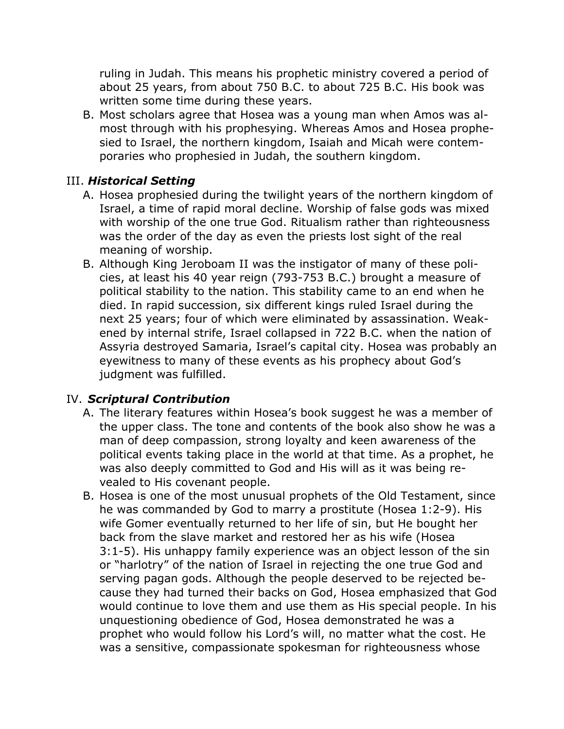ruling in Judah. This means his prophetic ministry covered a period of about 25 years, from about 750 B.C. to about 725 B.C. His book was written some time during these years.

B. Most scholars agree that Hosea was a young man when Amos was almost through with his prophesying. Whereas Amos and Hosea prophesied to Israel, the northern kingdom, Isaiah and Micah were contemporaries who prophesied in Judah, the southern kingdom.

#### III. *Historical Setting*

- A. Hosea prophesied during the twilight years of the northern kingdom of Israel, a time of rapid moral decline. Worship of false gods was mixed with worship of the one true God. Ritualism rather than righteousness was the order of the day as even the priests lost sight of the real meaning of worship.
- B. Although King Jeroboam II was the instigator of many of these policies, at least his 40 year reign (793-753 B.C.) brought a measure of political stability to the nation. This stability came to an end when he died. In rapid succession, six different kings ruled Israel during the next 25 years; four of which were eliminated by assassination. Weakened by internal strife, Israel collapsed in 722 B.C. when the nation of Assyria destroyed Samaria, Israel's capital city. Hosea was probably an eyewitness to many of these events as his prophecy about God's judgment was fulfilled.

#### IV. *Scriptural Contribution*

- A. The literary features within Hosea's book suggest he was a member of the upper class. The tone and contents of the book also show he was a man of deep compassion, strong loyalty and keen awareness of the political events taking place in the world at that time. As a prophet, he was also deeply committed to God and His will as it was being revealed to His covenant people.
- B. Hosea is one of the most unusual prophets of the Old Testament, since he was commanded by God to marry a prostitute (Hosea 1:2-9). His wife Gomer eventually returned to her life of sin, but He bought her back from the slave market and restored her as his wife (Hosea 3:1-5). His unhappy family experience was an object lesson of the sin or "harlotry" of the nation of Israel in rejecting the one true God and serving pagan gods. Although the people deserved to be rejected because they had turned their backs on God, Hosea emphasized that God would continue to love them and use them as His special people. In his unquestioning obedience of God, Hosea demonstrated he was a prophet who would follow his Lord's will, no matter what the cost. He was a sensitive, compassionate spokesman for righteousness whose